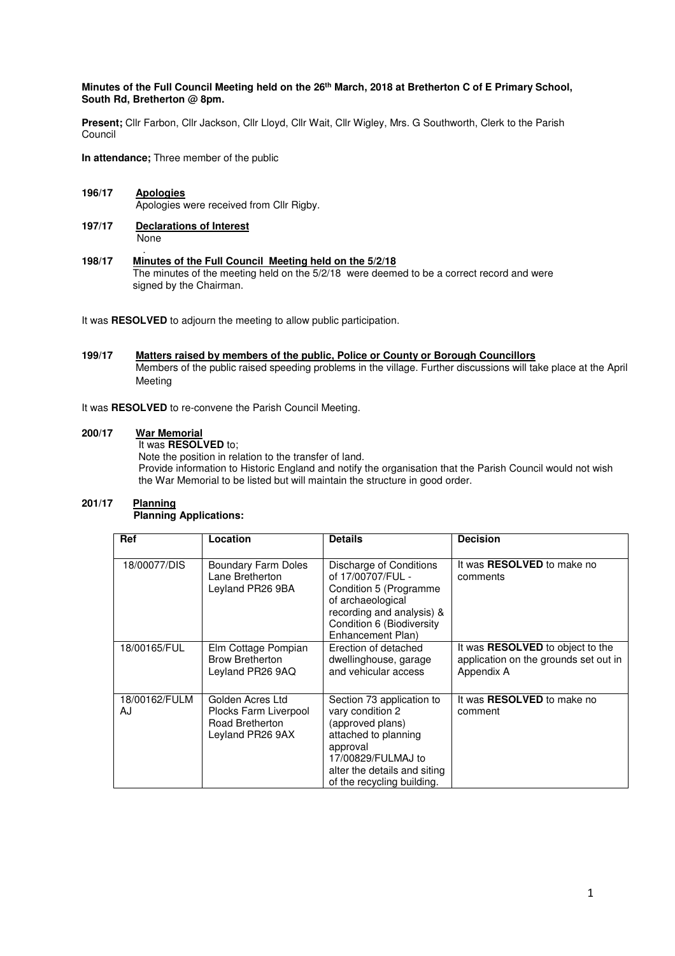# **Minutes of the Full Council Meeting held on the 26th March, 2018 at Bretherton C of E Primary School, South Rd, Bretherton @ 8pm.**

**Present;** Cllr Farbon, Cllr Jackson, Cllr Lloyd, Cllr Wait, Cllr Wigley, Mrs. G Southworth, Clerk to the Parish Council

**In attendance;** Three member of the public

- **196/17 Apologies** Apologies were received from Cllr Rigby.
- **197/17 Declarations of Interest** None
- . **198/17 Minutes of the Full Council Meeting held on the 5/2/18**  The minutes of the meeting held on the 5/2/18 were deemed to be a correct record and were signed by the Chairman.

It was **RESOLVED** to adjourn the meeting to allow public participation.

# **199/17 Matters raised by members of the public, Police or County or Borough Councillors**  Members of the public raised speeding problems in the village. Further discussions will take place at the April Meeting

It was **RESOLVED** to re-convene the Parish Council Meeting.

# **200/17 War Memorial**

 It was **RESOLVED** to; Note the position in relation to the transfer of land. Provide information to Historic England and notify the organisation that the Parish Council would not wish the War Memorial to be listed but will maintain the structure in good order.

#### **201/17 Planning Planning Applications:**

| <b>Ref</b>          | Location                                                                         | <b>Details</b>                                                                                                                                                                            | <b>Decision</b>                                                                         |
|---------------------|----------------------------------------------------------------------------------|-------------------------------------------------------------------------------------------------------------------------------------------------------------------------------------------|-----------------------------------------------------------------------------------------|
| 18/00077/DIS        | <b>Boundary Farm Doles</b><br>Lane Bretherton<br>Leyland PR26 9BA                | Discharge of Conditions<br>of 17/00707/FUL -<br>Condition 5 (Programme<br>of archaeological<br>recording and analysis) &<br>Condition 6 (Biodiversity<br>Enhancement Plan)                | It was <b>RESOLVED</b> to make no<br>comments                                           |
| 18/00165/FUL        | Elm Cottage Pompian<br><b>Brow Bretherton</b><br>Leyland PR26 9AQ                | Erection of detached<br>dwellinghouse, garage<br>and vehicular access                                                                                                                     | It was RESOLVED to object to the<br>application on the grounds set out in<br>Appendix A |
| 18/00162/FULM<br>AJ | Golden Acres Ltd<br>Plocks Farm Liverpool<br>Road Bretherton<br>Leyland PR26 9AX | Section 73 application to<br>vary condition 2<br>(approved plans)<br>attached to planning<br>approval<br>17/00829/FULMAJ to<br>alter the details and siting<br>of the recycling building. | It was <b>RESOLVED</b> to make no<br>comment                                            |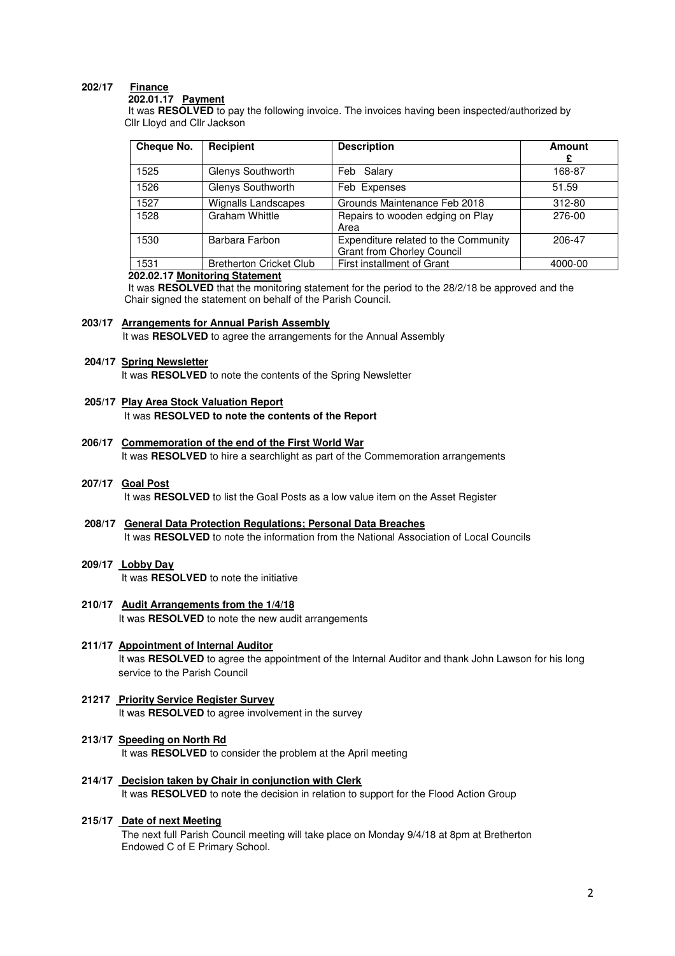# **202/17 Finance**

## **202.01.17 Payment**

 It was **RESOLVED** to pay the following invoice. The invoices having been inspected/authorized by Cllr Lloyd and Cllr Jackson

| Cheque No. | Recipient                      | <b>Description</b>                                                        | Amount<br>£ |
|------------|--------------------------------|---------------------------------------------------------------------------|-------------|
| 1525       | Glenys Southworth              | Feb Salary                                                                | 168-87      |
| 1526       | Glenys Southworth              | Feb Expenses                                                              | 51.59       |
| 1527       | <b>Wignalls Landscapes</b>     | Grounds Maintenance Feb 2018                                              | 312-80      |
| 1528       | <b>Graham Whittle</b>          | Repairs to wooden edging on Play<br>Area                                  | 276-00      |
| 1530       | Barbara Farbon                 | Expenditure related to the Community<br><b>Grant from Chorley Council</b> | 206-47      |
| 1531       | <b>Bretherton Cricket Club</b> | First installment of Grant                                                | 4000-00     |

#### **202.02.17 Monitoring Statement**

 It was **RESOLVED** that the monitoring statement for the period to the 28/2/18 be approved and the Chair signed the statement on behalf of the Parish Council.

## **203/17 Arrangements for Annual Parish Assembly**

It was **RESOLVED** to agree the arrangements for the Annual Assembly

#### **204/17 Spring Newsletter**

It was **RESOLVED** to note the contents of the Spring Newsletter

## **205/17 Play Area Stock Valuation Report** It was **RESOLVED to note the contents of the Report**

**206/17 Commemoration of the end of the First World War** It was **RESOLVED** to hire a searchlight as part of the Commemoration arrangements

#### **207/17 Goal Post**

It was **RESOLVED** to list the Goal Posts as a low value item on the Asset Register

# **208/17 General Data Protection Regulations; Personal Data Breaches**

It was **RESOLVED** to note the information from the National Association of Local Councils

# **209/17 Lobby Day**

It was **RESOLVED** to note the initiative

#### **210/17 Audit Arrangements from the 1/4/18**  It was **RESOLVED** to note the new audit arrangements

# **211/17 Appointment of Internal Auditor** It was **RESOLVED** to agree the appointment of the Internal Auditor and thank John Lawson for his long service to the Parish Council

# **21217 Priority Service Register Survey**  It was **RESOLVED** to agree involvement in the survey

# **213/17 Speeding on North Rd**

It was **RESOLVED** to consider the problem at the April meeting

**214/17 Decision taken by Chair in conjunction with Clerk** It was **RESOLVED** to note the decision in relation to support for the Flood Action Group

#### **215/17 Date of next Meeting**

 The next full Parish Council meeting will take place on Monday 9/4/18 at 8pm at Bretherton Endowed C of E Primary School.